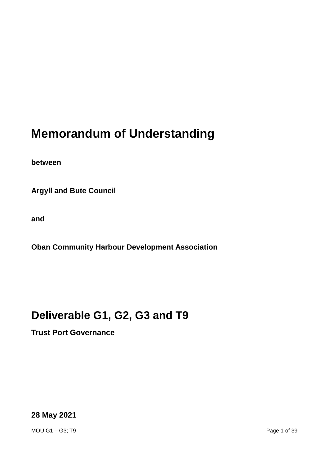# **Memorandum of Understanding**

**between**

**Argyll and Bute Council**

**and**

**Oban Community Harbour Development Association**

# **Deliverable G1, G2, G3 and T9**

**Trust Port Governance**

**28 May 2021**

MOU G1 – G3; T9 Page 1 of 39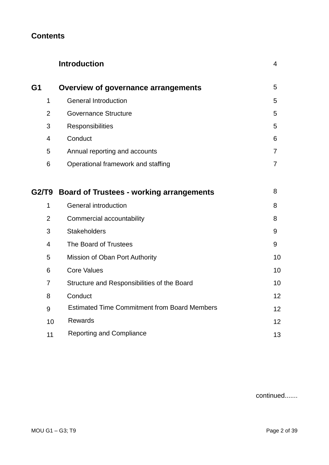# **Contents**

|                |    | <b>Introduction</b>                                 | 4  |
|----------------|----|-----------------------------------------------------|----|
| G1             |    | Overview of governance arrangements                 | 5  |
| 1              |    | <b>General Introduction</b>                         | 5  |
| $\overline{2}$ |    | <b>Governance Structure</b>                         | 5  |
| 3              |    | Responsibilities                                    | 5  |
| 4              |    | Conduct                                             | 6  |
| 5              |    | Annual reporting and accounts                       | 7  |
| 6              |    | Operational framework and staffing                  | 7  |
| G2/T9          |    | <b>Board of Trustees - working arrangements</b>     | 8  |
| 1              |    | <b>General introduction</b>                         | 8  |
| $\overline{2}$ |    | Commercial accountability                           | 8  |
| 3              |    | <b>Stakeholders</b>                                 | 9  |
| $\overline{4}$ |    | The Board of Trustees                               | 9  |
| 5              |    | Mission of Oban Port Authority                      | 10 |
| 6              |    | <b>Core Values</b>                                  | 10 |
| 7              |    | Structure and Responsibilities of the Board         | 10 |
| 8              |    | Conduct                                             | 12 |
| 9              |    | <b>Estimated Time Commitment from Board Members</b> | 12 |
|                | 10 | Rewards                                             | 12 |
|                | 11 | <b>Reporting and Compliance</b>                     | 13 |

continued.......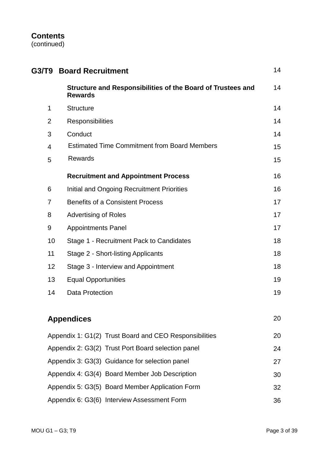# **Contents**

(continued)

| G3/T9 -        | <b>Board Recruitment</b>                                                      |    |  |  |
|----------------|-------------------------------------------------------------------------------|----|--|--|
|                | Structure and Responsibilities of the Board of Trustees and<br><b>Rewards</b> | 14 |  |  |
| 1              | <b>Structure</b>                                                              | 14 |  |  |
| $\overline{2}$ | Responsibilities                                                              | 14 |  |  |
| 3              | Conduct                                                                       | 14 |  |  |
| $\overline{4}$ | <b>Estimated Time Commitment from Board Members</b>                           | 15 |  |  |
| 5              | <b>Rewards</b>                                                                | 15 |  |  |
|                | <b>Recruitment and Appointment Process</b>                                    | 16 |  |  |
| 6              | Initial and Ongoing Recruitment Priorities                                    | 16 |  |  |
| $\overline{7}$ | <b>Benefits of a Consistent Process</b>                                       | 17 |  |  |
| 8              | <b>Advertising of Roles</b>                                                   | 17 |  |  |
| 9              | <b>Appointments Panel</b>                                                     | 17 |  |  |
| 10             | Stage 1 - Recruitment Pack to Candidates                                      |    |  |  |
| 11             | Stage 2 - Short-listing Applicants                                            |    |  |  |
| 12             | Stage 3 - Interview and Appointment                                           | 18 |  |  |
| 13             | <b>Equal Opportunities</b>                                                    | 19 |  |  |
|                | 14<br><b>Data Protection</b>                                                  |    |  |  |
|                | <b>Appendices</b>                                                             | 20 |  |  |
|                | Appendix 1: G1(2) Trust Board and CEO Responsibilities<br>20                  |    |  |  |
|                | Appendix 2: G3(2) Trust Port Board selection panel<br>24                      |    |  |  |
|                | Appendix 3: G3(3) Guidance for selection panel<br>27                          |    |  |  |
|                | Appendix 4: G3(4) Board Member Job Description<br>30                          |    |  |  |
|                | Appendix 5: G3(5) Board Member Application Form<br>32                         |    |  |  |

Appendix 6: G3(6) Interview Assessment Form 36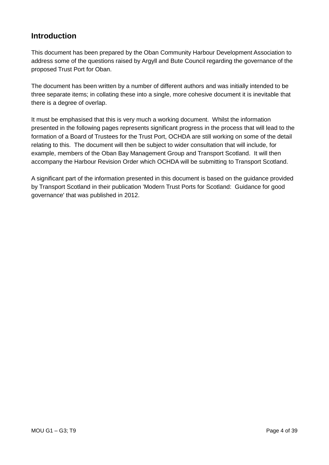# **Introduction**

This document has been prepared by the Oban Community Harbour Development Association to address some of the questions raised by Argyll and Bute Council regarding the governance of the proposed Trust Port for Oban.

The document has been written by a number of different authors and was initially intended to be three separate items; in collating these into a single, more cohesive document it is inevitable that there is a degree of overlap.

It must be emphasised that this is very much a working document. Whilst the information presented in the following pages represents significant progress in the process that will lead to the formation of a Board of Trustees for the Trust Port, OCHDA are still working on some of the detail relating to this. The document will then be subject to wider consultation that will include, for example, members of the Oban Bay Management Group and Transport Scotland. It will then accompany the Harbour Revision Order which OCHDA will be submitting to Transport Scotland.

A significant part of the information presented in this document is based on the guidance provided by Transport Scotland in their publication 'Modern Trust Ports for Scotland: Guidance for good governance' that was published in 2012.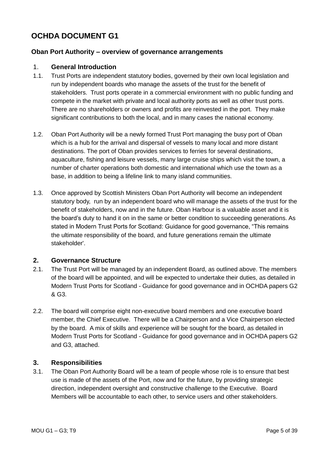# **OCHDA DOCUMENT G1**

#### **Oban Port Authority – overview of governance arrangements**

#### 1. **General Introduction**

- 1.1. Trust Ports are independent statutory bodies, governed by their own local legislation and run by independent boards who manage the assets of the trust for the benefit of stakeholders. Trust ports operate in a commercial environment with no public funding and compete in the market with private and local authority ports as well as other trust ports. There are no shareholders or owners and profits are reinvested in the port. They make significant contributions to both the local, and in many cases the national economy.
- 1.2. Oban Port Authority will be a newly formed Trust Port managing the busy port of Oban which is a hub for the arrival and dispersal of vessels to many local and more distant destinations. The port of Oban provides services to ferries for several destinations, aquaculture, fishing and leisure vessels, many large cruise ships which visit the town, a number of charter operations both domestic and international which use the town as a base, in addition to being a lifeline link to many island communities.
- 1.3. Once approved by Scottish Ministers Oban Port Authority will become an independent statutory body, run by an independent board who will manage the assets of the trust for the benefit of stakeholders, now and in the future. Oban Harbour is a valuable asset and it is the board's duty to hand it on in the same or better condition to succeeding generations. As stated in Modern Trust Ports for Scotland: Guidance for good governance, "This remains the ultimate responsibility of the board, and future generations remain the ultimate stakeholder'.

#### **2. Governance Structure**

- 2.1. The Trust Port will be managed by an independent Board, as outlined above. The members of the board will be appointed, and will be expected to undertake their duties, as detailed in Modern Trust Ports for Scotland - Guidance for good governance and in OCHDA papers G2 & G3.
- 2.2. The board will comprise eight non-executive board members and one executive board member, the Chief Executive. There will be a Chairperson and a Vice Chairperson elected by the board. A mix of skills and experience will be sought for the board, as detailed in Modern Trust Ports for Scotland - Guidance for good governance and in OCHDA papers G2 and G3, attached.

#### **3. Responsibilities**

3.1. The Oban Port Authority Board will be a team of people whose role is to ensure that best use is made of the assets of the Port, now and for the future, by providing strategic direction, independent oversight and constructive challenge to the Executive. Board Members will be accountable to each other, to service users and other stakeholders.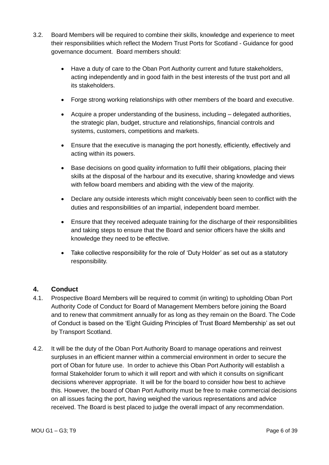- 3.2. Board Members will be required to combine their skills, knowledge and experience to meet their responsibilities which reflect the Modern Trust Ports for Scotland - Guidance for good governance document. Board members should:
	- Have a duty of care to the Oban Port Authority current and future stakeholders, acting independently and in good faith in the best interests of the trust port and all its stakeholders.
	- Forge strong working relationships with other members of the board and executive.
	- Acquire a proper understanding of the business, including delegated authorities, the strategic plan, budget, structure and relationships, financial controls and systems, customers, competitions and markets.
	- Ensure that the executive is managing the port honestly, efficiently, effectively and acting within its powers.
	- Base decisions on good quality information to fulfil their obligations, placing their skills at the disposal of the harbour and its executive, sharing knowledge and views with fellow board members and abiding with the view of the majority.
	- Declare any outside interests which might conceivably been seen to conflict with the duties and responsibilities of an impartial, independent board member.
	- Ensure that they received adequate training for the discharge of their responsibilities and taking steps to ensure that the Board and senior officers have the skills and knowledge they need to be effective.
	- Take collective responsibility for the role of 'Duty Holder' as set out as a statutory responsibility.

#### **4. Conduct**

- 4.1. Prospective Board Members will be required to commit (in writing) to upholding Oban Port Authority Code of Conduct for Board of Management Members before joining the Board and to renew that commitment annually for as long as they remain on the Board. The Code of Conduct is based on the 'Eight Guiding Principles of Trust Board Membership' as set out by Transport Scotland.
- 4.2. It will be the duty of the Oban Port Authority Board to manage operations and reinvest surpluses in an efficient manner within a commercial environment in order to secure the port of Oban for future use. In order to achieve this Oban Port Authority will establish a formal Stakeholder forum to which it will report and with which it consults on significant decisions wherever appropriate. It will be for the board to consider how best to achieve this. However, the board of Oban Port Authority must be free to make commercial decisions on all issues facing the port, having weighed the various representations and advice received. The Board is best placed to judge the overall impact of any recommendation.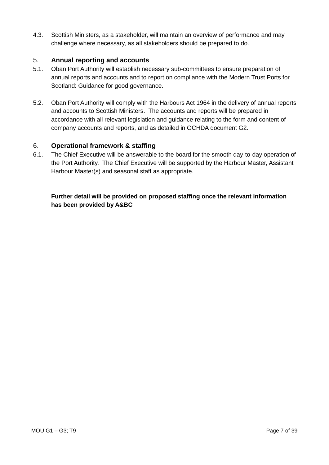4.3. Scottish Ministers, as a stakeholder, will maintain an overview of performance and may challenge where necessary, as all stakeholders should be prepared to do.

#### 5. **Annual reporting and accounts**

- 5.1. Oban Port Authority will establish necessary sub-committees to ensure preparation of annual reports and accounts and to report on compliance with the Modern Trust Ports for Scotland: Guidance for good governance.
- 5.2. Oban Port Authority will comply with the Harbours Act 1964 in the delivery of annual reports and accounts to Scottish Ministers. The accounts and reports will be prepared in accordance with all relevant legislation and guidance relating to the form and content of company accounts and reports, and as detailed in OCHDA document G2.

#### 6. **Operational framework & staffing**

6.1. The Chief Executive will be answerable to the board for the smooth day-to-day operation of the Port Authority. The Chief Executive will be supported by the Harbour Master, Assistant Harbour Master(s) and seasonal staff as appropriate.

**Further detail will be provided on proposed staffing once the relevant information has been provided by A&BC**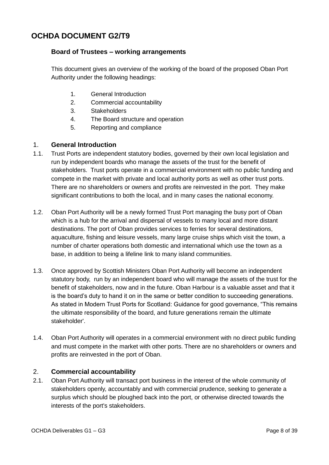# **OCHDA DOCUMENT G2/T9**

#### **Board of Trustees – working arrangements**

This document gives an overview of the working of the board of the proposed Oban Port Authority under the following headings:

- 1. General Introduction
- 2. Commercial accountability
- 3. Stakeholders
- 4. The Board structure and operation
- 5. Reporting and compliance

#### 1. **General Introduction**

- 1.1. Trust Ports are independent statutory bodies, governed by their own local legislation and run by independent boards who manage the assets of the trust for the benefit of stakeholders. Trust ports operate in a commercial environment with no public funding and compete in the market with private and local authority ports as well as other trust ports. There are no shareholders or owners and profits are reinvested in the port. They make significant contributions to both the local, and in many cases the national economy.
- 1.2. Oban Port Authority will be a newly formed Trust Port managing the busy port of Oban which is a hub for the arrival and dispersal of vessels to many local and more distant destinations. The port of Oban provides services to ferries for several destinations, aquaculture, fishing and leisure vessels, many large cruise ships which visit the town, a number of charter operations both domestic and international which use the town as a base, in addition to being a lifeline link to many island communities.
- 1.3. Once approved by Scottish Ministers Oban Port Authority will become an independent statutory body, run by an independent board who will manage the assets of the trust for the benefit of stakeholders, now and in the future. Oban Harbour is a valuable asset and that it is the board's duty to hand it on in the same or better condition to succeeding generations. As stated in Modern Trust Ports for Scotland: Guidance for good governance, "This remains the ultimate responsibility of the board, and future generations remain the ultimate stakeholder'.
- 1.4. Oban Port Authority will operates in a commercial environment with no direct public funding and must compete in the market with other ports. There are no shareholders or owners and profits are reinvested in the port of Oban.

#### 2. **Commercial accountability**

2.1. Oban Port Authority will transact port business in the interest of the whole community of stakeholders openly, accountably and with commercial prudence, seeking to generate a surplus which should be ploughed back into the port, or otherwise directed towards the interests of the port's stakeholders.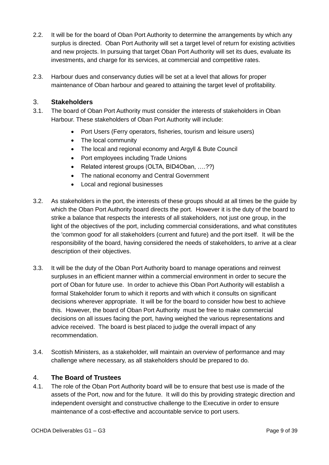- 2.2. It will be for the board of Oban Port Authority to determine the arrangements by which any surplus is directed. Oban Port Authority will set a target level of return for existing activities and new projects. In pursuing that target Oban Port Authority will set its dues, evaluate its investments, and charge for its services, at commercial and competitive rates.
- 2.3. Harbour dues and conservancy duties will be set at a level that allows for proper maintenance of Oban harbour and geared to attaining the target level of profitability.

#### 3. **Stakeholders**

- 3.1. The board of Oban Port Authority must consider the interests of stakeholders in Oban Harbour. These stakeholders of Oban Port Authority will include:
	- Port Users (Ferry operators, fisheries, tourism and leisure users)
	- The local community
	- The local and regional economy and Argyll & Bute Council
	- Port employees including Trade Unions
	- Related interest groups (OLTA, BID4Oban, ....??)
	- The national economy and Central Government
	- Local and regional businesses
- 3.2. As stakeholders in the port, the interests of these groups should at all times be the guide by which the Oban Port Authority board directs the port. However it is the duty of the board to strike a balance that respects the interests of all stakeholders, not just one group, in the light of the objectives of the port, including commercial considerations, and what constitutes the 'common good' for all stakeholders (current and future) and the port itself. It will be the responsibility of the board, having considered the needs of stakeholders, to arrive at a clear description of their objectives.
- 3.3. It will be the duty of the Oban Port Authority board to manage operations and reinvest surpluses in an efficient manner within a commercial environment in order to secure the port of Oban for future use. In order to achieve this Oban Port Authority will establish a formal Stakeholder forum to which it reports and with which it consults on significant decisions wherever appropriate. It will be for the board to consider how best to achieve this. However, the board of Oban Port Authority must be free to make commercial decisions on all issues facing the port, having weighed the various representations and advice received. The board is best placed to judge the overall impact of any recommendation.
- 3.4. Scottish Ministers, as a stakeholder, will maintain an overview of performance and may challenge where necessary, as all stakeholders should be prepared to do.

#### 4. **The Board of Trustees**

4.1. The role of the Oban Port Authority board will be to ensure that best use is made of the assets of the Port, now and for the future. It will do this by providing strategic direction and independent oversight and constructive challenge to the Executive in order to ensure maintenance of a cost-effective and accountable service to port users.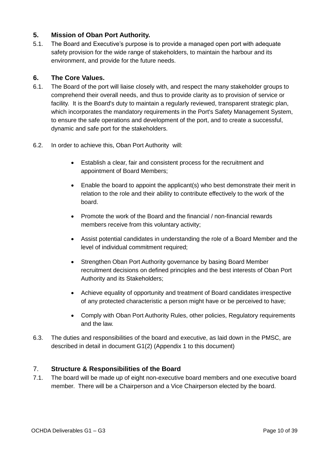#### **5. Mission of Oban Port Authority.**

5.1. The Board and Executive's purpose is to provide a managed open port with adequate safety provision for the wide range of stakeholders, to maintain the harbour and its environment, and provide for the future needs.

#### **6. The Core Values.**

- 6.1. The Board of the port will liaise closely with, and respect the many stakeholder groups to comprehend their overall needs, and thus to provide clarity as to provision of service or facility. It is the Board's duty to maintain a regularly reviewed, transparent strategic plan, which incorporates the mandatory requirements in the Port's Safety Management System, to ensure the safe operations and development of the port, and to create a successful, dynamic and safe port for the stakeholders.
- 6.2. In order to achieve this, Oban Port Authority will:
	- Establish a clear, fair and consistent process for the recruitment and appointment of Board Members;
	- Enable the board to appoint the applicant(s) who best demonstrate their merit in relation to the role and their ability to contribute effectively to the work of the board.
	- Promote the work of the Board and the financial / non-financial rewards members receive from this voluntary activity;
	- Assist potential candidates in understanding the role of a Board Member and the level of individual commitment required;
	- Strengthen Oban Port Authority governance by basing Board Member recruitment decisions on defined principles and the best interests of Oban Port Authority and its Stakeholders;
	- Achieve equality of opportunity and treatment of Board candidates irrespective of any protected characteristic a person might have or be perceived to have;
	- Comply with Oban Port Authority Rules, other policies, Regulatory requirements and the law.
- 6.3. The duties and responsibilities of the board and executive, as laid down in the PMSC, are described in detail in document G1(2) (Appendix 1 to this document)

#### 7. **Structure & Responsibilities of the Board**

7.1. The board will be made up of eight non-executive board members and one executive board member. There will be a Chairperson and a Vice Chairperson elected by the board.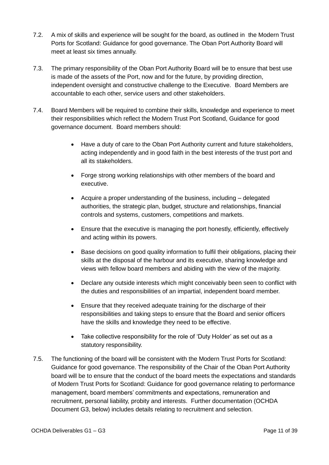- 7.2. A mix of skills and experience will be sought for the board, as outlined in the Modern Trust Ports for Scotland: Guidance for good governance. The Oban Port Authority Board will meet at least six times annually.
- 7.3. The primary responsibility of the Oban Port Authority Board will be to ensure that best use is made of the assets of the Port, now and for the future, by providing direction, independent oversight and constructive challenge to the Executive. Board Members are accountable to each other, service users and other stakeholders.
- 7.4. Board Members will be required to combine their skills, knowledge and experience to meet their responsibilities which reflect the Modern Trust Port Scotland, Guidance for good governance document. Board members should:
	- Have a duty of care to the Oban Port Authority current and future stakeholders, acting independently and in good faith in the best interests of the trust port and all its stakeholders.
	- Forge strong working relationships with other members of the board and executive.
	- Acquire a proper understanding of the business, including delegated authorities, the strategic plan, budget, structure and relationships, financial controls and systems, customers, competitions and markets.
	- Ensure that the executive is managing the port honestly, efficiently, effectively and acting within its powers.
	- Base decisions on good quality information to fulfil their obligations, placing their skills at the disposal of the harbour and its executive, sharing knowledge and views with fellow board members and abiding with the view of the majority.
	- Declare any outside interests which might conceivably been seen to conflict with the duties and responsibilities of an impartial, independent board member.
	- Ensure that they received adequate training for the discharge of their responsibilities and taking steps to ensure that the Board and senior officers have the skills and knowledge they need to be effective.
	- Take collective responsibility for the role of 'Duty Holder' as set out as a statutory responsibility.
- 7.5. The functioning of the board will be consistent with the Modern Trust Ports for Scotland: Guidance for good governance. The responsibility of the Chair of the Oban Port Authority board will be to ensure that the conduct of the board meets the expectations and standards of Modern Trust Ports for Scotland: Guidance for good governance relating to performance management, board members' commitments and expectations, remuneration and recruitment, personal liability, probity and interests. Further documentation (OCHDA Document G3, below) includes details relating to recruitment and selection.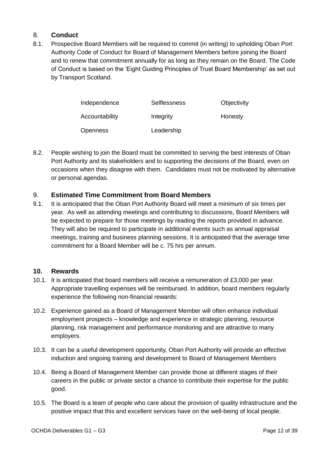#### 8. **Conduct**

8.1. Prospective Board Members will be required to commit (in writing) to upholding Oban Port Authority Code of Conduct for Board of Management Members before joining the Board and to renew that commitment annually for as long as they remain on the Board. The Code of Conduct is based on the 'Eight Guiding Principles of Trust Board Membership' as set out by Transport Scotland.

| Independence    | Selflessness | Objectivity |
|-----------------|--------------|-------------|
| Accountability  | Integrity    | Honesty     |
| <b>Openness</b> | Leadership   |             |

8.2. People wishing to join the Board must be committed to serving the best interests of Oban Port Authority and its stakeholders and to supporting the decisions of the Board, even on occasions when they disagree with them. Candidates must not be motivated by alternative or personal agendas.

#### 9. **Estimated Time Commitment from Board Members**

9.1. It is anticipated that the Oban Port Authority Board will meet a minimum of six times per year. As well as attending meetings and contributing to discussions, Board Members will be expected to prepare for those meetings by reading the reports provided in advance. They will also be required to participate in additional events such as annual appraisal meetings, training and business planning sessions. It is anticipated that the average time commitment for a Board Member will be c. 75 hrs per annum.

#### **10. Rewards**

- 10.1. It is anticipated that board members will receive a remuneration of £3,000 per year. Appropriate travelling expenses will be reimbursed. In addition, board members regularly experience the following non-financial rewards:
- 10.2. Experience gained as a Board of Management Member will often enhance individual employment prospects – knowledge and experience in strategic planning, resource planning, risk management and performance monitoring and are attractive to many employers.
- 10.3. It can be a useful development opportunity, Oban Port Authority will provide an effective induction and ongoing training and development to Board of Management Members
- 10.4. Being a Board of Management Member can provide those at different stages of their careers in the public or private sector a chance to contribute their expertise for the public good.
- 10.5. The Board is a team of people who care about the provision of quality infrastructure and the positive impact that this and excellent services have on the well-being of local people.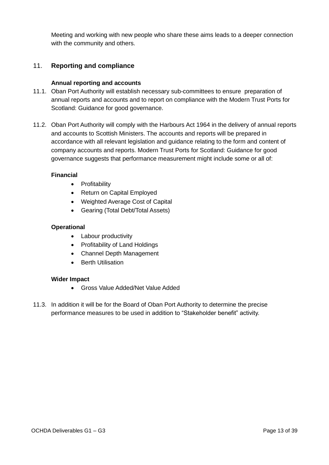Meeting and working with new people who share these aims leads to a deeper connection with the community and others.

#### 11. **Reporting and compliance**

#### **Annual reporting and accounts**

- 11.1. Oban Port Authority will establish necessary sub-committees to ensure preparation of annual reports and accounts and to report on compliance with the Modern Trust Ports for Scotland: Guidance for good governance.
- 11.2. Oban Port Authority will comply with the Harbours Act 1964 in the delivery of annual reports and accounts to Scottish Ministers. The accounts and reports will be prepared in accordance with all relevant legislation and guidance relating to the form and content of company accounts and reports. Modern Trust Ports for Scotland: Guidance for good governance suggests that performance measurement might include some or all of:

#### **Financial**

- Profitability
- Return on Capital Employed
- Weighted Average Cost of Capital
- Gearing (Total Debt/Total Assets)

#### **Operational**

- Labour productivity
- Profitability of Land Holdings
- Channel Depth Management
- Berth Utilisation

#### **Wider Impact**

- Gross Value Added/Net Value Added
- 11.3. In addition it will be for the Board of Oban Port Authority to determine the precise performance measures to be used in addition to "Stakeholder benefit" activity.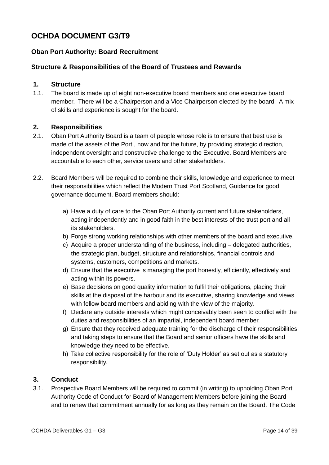# **OCHDA DOCUMENT G3/T9**

#### **Oban Port Authority: Board Recruitment**

#### **Structure & Responsibilities of the Board of Trustees and Rewards**

#### **1. Structure**

1.1. The board is made up of eight non-executive board members and one executive board member. There will be a Chairperson and a Vice Chairperson elected by the board. A mix of skills and experience is sought for the board.

#### **2. Responsibilities**

- 2.1. Oban Port Authority Board is a team of people whose role is to ensure that best use is made of the assets of the Port , now and for the future, by providing strategic direction, independent oversight and constructive challenge to the Executive. Board Members are accountable to each other, service users and other stakeholders.
- 2.2. Board Members will be required to combine their skills, knowledge and experience to meet their responsibilities which reflect the Modern Trust Port Scotland, Guidance for good governance document. Board members should:
	- a) Have a duty of care to the Oban Port Authority current and future stakeholders, acting independently and in good faith in the best interests of the trust port and all its stakeholders.
	- b) Forge strong working relationships with other members of the board and executive.
	- c) Acquire a proper understanding of the business, including delegated authorities, the strategic plan, budget, structure and relationships, financial controls and systems, customers, competitions and markets.
	- d) Ensure that the executive is managing the port honestly, efficiently, effectively and acting within its powers.
	- e) Base decisions on good quality information to fulfil their obligations, placing their skills at the disposal of the harbour and its executive, sharing knowledge and views with fellow board members and abiding with the view of the majority.
	- f) Declare any outside interests which might conceivably been seen to conflict with the duties and responsibilities of an impartial, independent board member.
	- g) Ensure that they received adequate training for the discharge of their responsibilities and taking steps to ensure that the Board and senior officers have the skills and knowledge they need to be effective.
	- h) Take collective responsibility for the role of 'Duty Holder' as set out as a statutory responsibility.

#### **3. Conduct**

3.1. Prospective Board Members will be required to commit (in writing) to upholding Oban Port Authority Code of Conduct for Board of Management Members before joining the Board and to renew that commitment annually for as long as they remain on the Board. The Code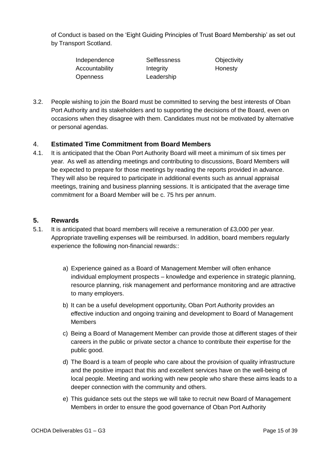of Conduct is based on the 'Eight Guiding Principles of Trust Board Membership' as set out by Transport Scotland.

| Independence    | <b>Selflessness</b> | Objectivity |
|-----------------|---------------------|-------------|
| Accountability  | Integrity           | Honesty     |
| <b>Openness</b> | Leadership          |             |

3.2. People wishing to join the Board must be committed to serving the best interests of Oban Port Authority and its stakeholders and to supporting the decisions of the Board, even on occasions when they disagree with them. Candidates must not be motivated by alternative or personal agendas.

#### 4. **Estimated Time Commitment from Board Members**

4.1. It is anticipated that the Oban Port Authority Board will meet a minimum of six times per year. As well as attending meetings and contributing to discussions, Board Members will be expected to prepare for those meetings by reading the reports provided in advance. They will also be required to participate in additional events such as annual appraisal meetings, training and business planning sessions. It is anticipated that the average time commitment for a Board Member will be c. 75 hrs per annum.

#### **5. Rewards**

- 5.1. It is anticipated that board members will receive a remuneration of £3,000 per year. Appropriate travelling expenses will be reimbursed. In addition, board members regularly experience the following non-financial rewards::
	- a) Experience gained as a Board of Management Member will often enhance individual employment prospects – knowledge and experience in strategic planning, resource planning, risk management and performance monitoring and are attractive to many employers.
	- b) It can be a useful development opportunity, Oban Port Authority provides an effective induction and ongoing training and development to Board of Management Members
	- c) Being a Board of Management Member can provide those at different stages of their careers in the public or private sector a chance to contribute their expertise for the public good.
	- d) The Board is a team of people who care about the provision of quality infrastructure and the positive impact that this and excellent services have on the well-being of local people. Meeting and working with new people who share these aims leads to a deeper connection with the community and others.
	- e) This guidance sets out the steps we will take to recruit new Board of Management Members in order to ensure the good governance of Oban Port Authority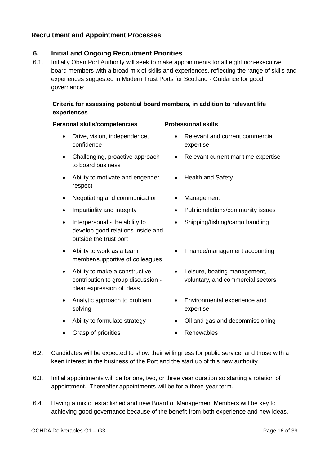# **Recruitment and Appointment Processes**

# **6. Initial and Ongoing Recruitment Priorities**

6.1. Initially Oban Port Authority will seek to make appointments for all eight non-executive board members with a broad mix of skills and experiences, reflecting the range of skills and experiences suggested in Modern Trust Ports for Scotland - Guidance for good governance:

## **Criteria for assessing potential board members, in addition to relevant life experiences**

#### **Personal skills/competencies Professional skills**

- Drive, vision, independence, confidence
- Challenging, proactive approach to board business
- Ability to motivate and engender respect
- Negotiating and communication Management
- 
- Interpersonal the ability to develop good relations inside and outside the trust port
- Ability to work as a team member/supportive of colleagues
- Ability to make a constructive contribution to group discussion clear expression of ideas
- Analytic approach to problem solving
- 
- Grasp of priorities **Constant Constant Constant Constant Constant Constant Constant Constant Constant Constant Constant Constant Constant Constant Constant Constant Constant Constant Constant Constant Constant Constant C**

- Relevant and current commercial expertise
- Relevant current maritime expertise
- Health and Safety
- 
- Impartiality and integrity **Exercise Section** Public relations/community issues
	- Shipping/fishing/cargo handling
	- Finance/management accounting
	- Leisure, boating management, voluntary, and commercial sectors
	- Environmental experience and expertise
- Ability to formulate strategy Oil and gas and decommissioning
	-
- 6.2. Candidates will be expected to show their willingness for public service, and those with a keen interest in the business of the Port and the start up of this new authority.
- 6.3. Initial appointments will be for one, two, or three year duration so starting a rotation of appointment. Thereafter appointments will be for a three-year term.
- 6.4. Having a mix of established and new Board of Management Members will be key to achieving good governance because of the benefit from both experience and new ideas.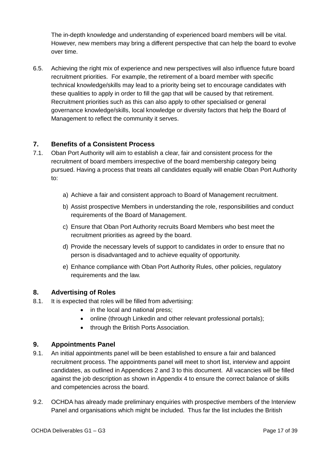The in-depth knowledge and understanding of experienced board members will be vital. However, new members may bring a different perspective that can help the board to evolve over time.

6.5. Achieving the right mix of experience and new perspectives will also influence future board recruitment priorities. For example, the retirement of a board member with specific technical knowledge/skills may lead to a priority being set to encourage candidates with these qualities to apply in order to fill the gap that will be caused by that retirement. Recruitment priorities such as this can also apply to other specialised or general governance knowledge/skills, local knowledge or diversity factors that help the Board of Management to reflect the community it serves.

#### **7. Benefits of a Consistent Process**

- 7.1. Oban Port Authority will aim to establish a clear, fair and consistent process for the recruitment of board members irrespective of the board membership category being pursued. Having a process that treats all candidates equally will enable Oban Port Authority to:
	- a) Achieve a fair and consistent approach to Board of Management recruitment.
	- b) Assist prospective Members in understanding the role, responsibilities and conduct requirements of the Board of Management.
	- c) Ensure that Oban Port Authority recruits Board Members who best meet the recruitment priorities as agreed by the board.
	- d) Provide the necessary levels of support to candidates in order to ensure that no person is disadvantaged and to achieve equality of opportunity.
	- e) Enhance compliance with Oban Port Authority Rules, other policies, regulatory requirements and the law.

#### **8. Advertising of Roles**

- 8.1. It is expected that roles will be filled from advertising:
	- in the local and national press;
	- online (through Linkedin and other relevant professional portals);
	- through the British Ports Association.

#### **9. Appointments Panel**

- 9.1. An initial appointments panel will be been established to ensure a fair and balanced recruitment process. The appointments panel will meet to short list, interview and appoint candidates, as outlined in Appendices 2 and 3 to this document. All vacancies will be filled against the job description as shown in Appendix 4 to ensure the correct balance of skills and competencies across the board.
- 9.2. OCHDA has already made preliminary enquiries with prospective members of the Interview Panel and organisations which might be included. Thus far the list includes the British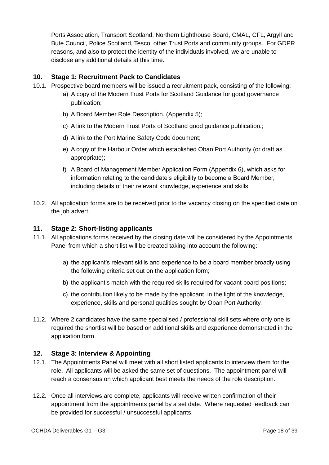Ports Association, Transport Scotland, Northern Lighthouse Board, CMAL, CFL, Argyll and Bute Council, Police Scotland, Tesco, other Trust Ports and community groups. For GDPR reasons, and also to protect the identity of the individuals involved, we are unable to disclose any additional details at this time.

#### **10. Stage 1: Recruitment Pack to Candidates**

- 10.1. Prospective board members will be issued a recruitment pack, consisting of the following:
	- a) A copy of the Modern Trust Ports for Scotland Guidance for good governance publication;
	- b) A Board Member Role Description. (Appendix 5);
	- c) A link to the Modern Trust Ports of Scotland good guidance publication.;
	- d) A link to the Port Marine Safety Code document;
	- e) A copy of the Harbour Order which established Oban Port Authority (or draft as appropriate);
	- f) A Board of Management Member Application Form (Appendix 6), which asks for information relating to the candidate's eligibility to become a Board Member, including details of their relevant knowledge, experience and skills.
- 10.2. All application forms are to be received prior to the vacancy closing on the specified date on the job advert.

#### **11. Stage 2: Short-listing applicants**

- 11.1. All applications forms received by the closing date will be considered by the Appointments Panel from which a short list will be created taking into account the following:
	- a) the applicant's relevant skills and experience to be a board member broadly using the following criteria set out on the application form;
	- b) the applicant's match with the required skills required for vacant board positions;
	- c) the contribution likely to be made by the applicant, in the light of the knowledge, experience, skills and personal qualities sought by Oban Port Authority.
- 11.2. Where 2 candidates have the same specialised / professional skill sets where only one is required the shortlist will be based on additional skills and experience demonstrated in the application form.

#### **12. Stage 3: Interview & Appointing**

- 12.1. The Appointments Panel will meet with all short listed applicants to interview them for the role. All applicants will be asked the same set of questions. The appointment panel will reach a consensus on which applicant best meets the needs of the role description.
- 12.2. Once all interviews are complete, applicants will receive written confirmation of their appointment from the appointments panel by a set date. Where requested feedback can be provided for successful / unsuccessful applicants.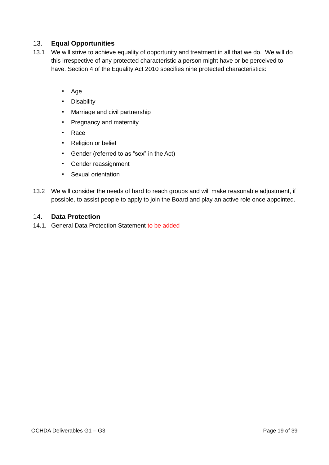#### 13. **Equal Opportunities**

- 13.1 We will strive to achieve equality of opportunity and treatment in all that we do. We will do this irrespective of any protected characteristic a person might have or be perceived to have. Section 4 of the Equality Act 2010 specifies nine protected characteristics:
	- Age
	- Disability
	- Marriage and civil partnership
	- Pregnancy and maternity
	- Race
	- Religion or belief
	- Gender (referred to as "sex" in the Act)
	- Gender reassignment
	- Sexual orientation
- 13.2 We will consider the needs of hard to reach groups and will make reasonable adjustment, if possible, to assist people to apply to join the Board and play an active role once appointed.

#### 14. **Data Protection**

14.1. General Data Protection Statement to be added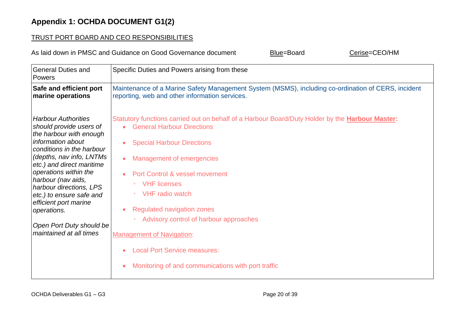# TRUST PORT BOARD AND CEO RESPONSIBILITIES

As laid down in PMSC and Guidance on Good Governance document Blue=Board Cerise=CEO/HM

| <b>General Duties and</b><br>Powers | Specific Duties and Powers arising from these                                                          |  |  |
|-------------------------------------|--------------------------------------------------------------------------------------------------------|--|--|
| Safe and efficient port             | Maintenance of a Marine Safety Management System (MSMS), including co-ordination of CERS, incident     |  |  |
| marine operations                   | reporting, web and other information services.                                                         |  |  |
| <b>Harbour Authorities</b>          | Statutory functions carried out on behalf of a Harbour Board/Duty Holder by the <b>Harbour Master:</b> |  |  |
| should provide users of             | <b>General Harbour Directions</b>                                                                      |  |  |
| the harbour with enough             | $\bullet$                                                                                              |  |  |
| information about                   | <b>Special Harbour Directions</b>                                                                      |  |  |
| conditions in the harbour           | <b>Management of emergencies</b>                                                                       |  |  |
| (depths, nav info, LNTMs            | Port Control & vessel movement                                                                         |  |  |
| etc.) and direct maritime           | <b>VHF</b> licenses                                                                                    |  |  |
| operations within the               | <b>VHF</b> radio watch                                                                                 |  |  |
| harbour (nav aids,                  | $\circ$                                                                                                |  |  |
| harbour directions, LPS             | <b>Regulated navigation zones</b>                                                                      |  |  |
| etc.) to ensure safe and            | Advisory control of harbour approaches                                                                 |  |  |
| efficient port marine               | <b>Management of Navigation:</b>                                                                       |  |  |
| operations.                         | <b>Local Port Service measures:</b>                                                                    |  |  |
| Open Port Duty should be            | Monitoring of and communications with port traffic                                                     |  |  |
| maintained at all times             | $\bullet$                                                                                              |  |  |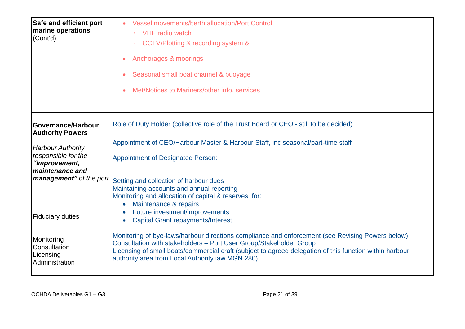| Safe and efficient port<br>marine operations<br>(Cont'd)                             | <b>Vessel movements/berth allocation/Port Control</b><br><b>VHF</b> radio watch<br>$\bullet$<br>CCTV/Plotting & recording system &<br>Anchorages & moorings<br>$\bullet$<br>Seasonal small boat channel & buoyage<br>$\bullet$<br>Met/Notices to Mariners/other info. services                                                                                                                 |
|--------------------------------------------------------------------------------------|------------------------------------------------------------------------------------------------------------------------------------------------------------------------------------------------------------------------------------------------------------------------------------------------------------------------------------------------------------------------------------------------|
| Governance/Harbour<br><b>Authority Powers</b>                                        | Role of Duty Holder (collective role of the Trust Board or CEO - still to be decided)                                                                                                                                                                                                                                                                                                          |
| <b>Harbour Authority</b><br>responsible for the<br>"improvement,<br>maintenance and  | Appointment of CEO/Harbour Master & Harbour Staff, inc seasonal/part-time staff<br><b>Appointment of Designated Person:</b>                                                                                                                                                                                                                                                                    |
| management" of the port                                                              | Setting and collection of harbour dues<br>Maintaining accounts and annual reporting<br>Monitoring and allocation of capital & reserves for:<br>Maintenance & repairs<br>Future investment/improvements                                                                                                                                                                                         |
| <b>Fiduciary duties</b><br>Monitoring<br>Consultation<br>Licensing<br>Administration | <b>Capital Grant repayments/Interest</b><br>$\bullet$<br>Monitoring of bye-laws/harbour directions compliance and enforcement (see Revising Powers below)<br>Consultation with stakeholders - Port User Group/Stakeholder Group<br>Licensing of small boats/commercial craft (subject to agreed delegation of this function within harbour<br>authority area from Local Authority iaw MGN 280) |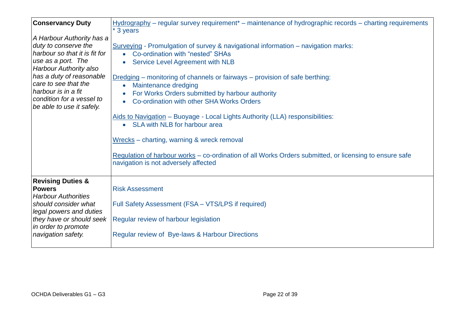| <b>Conservancy Duty</b>                                                                                                                                                                                                                                                 | $Hydrography$ – regular survey requirement <sup>*</sup> – maintenance of hydrographic records – charting requirements<br>* 3 years                                                                                                                                                                                                                                                                                                                                                                                                                                                                                                                                                                             |
|-------------------------------------------------------------------------------------------------------------------------------------------------------------------------------------------------------------------------------------------------------------------------|----------------------------------------------------------------------------------------------------------------------------------------------------------------------------------------------------------------------------------------------------------------------------------------------------------------------------------------------------------------------------------------------------------------------------------------------------------------------------------------------------------------------------------------------------------------------------------------------------------------------------------------------------------------------------------------------------------------|
| A Harbour Authority has a<br>duty to conserve the<br>harbour so that it is fit for<br>use as a port. The<br>Harbour Authority also<br>has a duty of reasonable<br>care to see that the<br>harbour is in a fit<br>condition for a vessel to<br>be able to use it safely. | Surveying - Promulgation of survey & navigational information – navigation marks:<br>Co-ordination with "nested" SHAs<br>Service Level Agreement with NLB<br>Dredging – monitoring of channels or fairways – provision of safe berthing:<br>Maintenance dredging<br>$\bullet$<br>For Works Orders submitted by harbour authority<br>Co-ordination with other SHA Works Orders<br>$\bullet$<br>Aids to Navigation - Buoyage - Local Lights Authority (LLA) responsibilities:<br>• SLA with NLB for harbour area<br>Wrecks - charting, warning & wreck removal<br>Regulation of harbour works – co-ordination of all Works Orders submitted, or licensing to ensure safe<br>navigation is not adversely affected |
| <b>Revising Duties &amp;</b><br><b>Powers</b><br><b>Harbour Authorities</b><br>should consider what<br>legal powers and duties<br>they have or should seek<br>in order to promote<br>navigation safety.                                                                 | <b>Risk Assessment</b><br>Full Safety Assessment (FSA - VTS/LPS if required)<br>Regular review of harbour legislation<br>Regular review of Bye-laws & Harbour Directions                                                                                                                                                                                                                                                                                                                                                                                                                                                                                                                                       |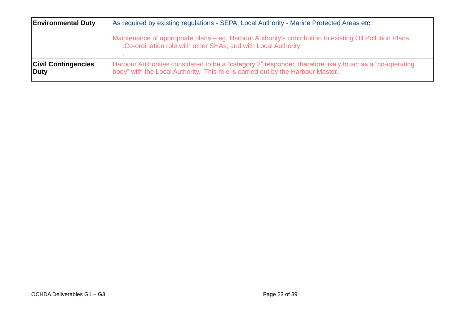| <b>Environmental Duty</b>                 | As required by existing regulations - SEPA, Local Authority - Marine Protected Areas etc.                                                                                                     |
|-------------------------------------------|-----------------------------------------------------------------------------------------------------------------------------------------------------------------------------------------------|
|                                           | Maintenance of appropriate plans – eg. Harbour Authority's contribution to existing Oil Pollution Plans.<br>.Co-ordination role with other SHAs, and with Local Authority                     |
| <b>Civil Contingencies</b><br><b>Duty</b> | Harbour Authorities considered to be a "category 2" responder, therefore likely to act as a "co-operating"<br>body" with the Local Authority. This role is carried out by the Harbour Master. |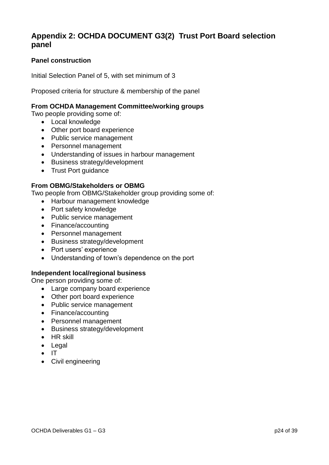# **Appendix 2: OCHDA DOCUMENT G3(2) Trust Port Board selection panel**

#### **Panel construction**

Initial Selection Panel of 5, with set minimum of 3

Proposed criteria for structure & membership of the panel

#### **From OCHDA Management Committee/working groups**

Two people providing some of:

- Local knowledge
- Other port board experience
- Public service management
- Personnel management
- Understanding of issues in harbour management
- Business strategy/development
- Trust Port guidance

#### **From OBMG/Stakeholders or OBMG**

Two people from OBMG/Stakeholder group providing some of:

- Harbour management knowledge
- Port safety knowledge
- Public service management
- Finance/accounting
- Personnel management
- Business strategy/development
- Port users' experience
- Understanding of town's dependence on the port

#### **Independent local/regional business**

One person providing some of:

- Large company board experience
- Other port board experience
- Public service management
- Finance/accounting
- Personnel management
- Business strategy/development
- $\bullet$  HR skill
- Legal
- $\bullet$  IT
- Civil engineering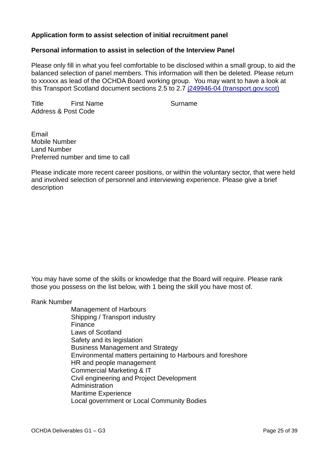#### **Application form to assist selection of initial recruitment panel**

#### **Personal information to assist in selection of the Interview Panel**

Please only fill in what you feel comfortable to be disclosed within a small group, to aid the balanced selection of panel members. This information will then be deleted. Please return to xxxxxx as lead of the OCHDA Board working group. You may want to have a look at this Transport Scotland document sections 2.5 to 2.7 [j249946-04 \(transport.gov.scot\)](https://www.transport.gov.scot/publication/modern-trust-ports-for-scotland-guidance-for-good-governance/j249946-04/#para27)

Title First Name **Surname** Address & Post Code

Email Mobile Number Land Number Preferred number and time to call

Please indicate more recent career positions, or within the voluntary sector, that were held and involved selection of personnel and interviewing experience. Please give a brief description

You may have some of the skills or knowledge that the Board will require. Please rank those you possess on the list below, with 1 being the skill you have most of.

Rank Number

Management of Harbours Shipping / Transport industry Finance Laws of Scotland Safety and its legislation Business Management and Strategy Environmental matters pertaining to Harbours and foreshore HR and people management Commercial Marketing & IT Civil engineering and Project Development **Administration** Maritime Experience Local government or Local Community Bodies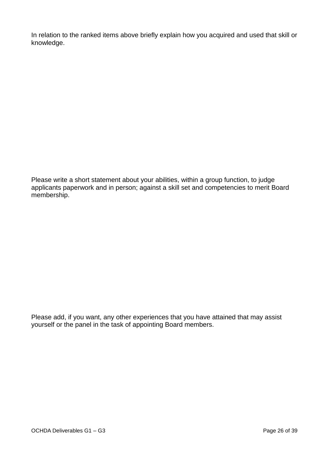In relation to the ranked items above briefly explain how you acquired and used that skill or knowledge.

Please write a short statement about your abilities, within a group function, to judge applicants paperwork and in person; against a skill set and competencies to merit Board membership.

Please add, if you want, any other experiences that you have attained that may assist yourself or the panel in the task of appointing Board members.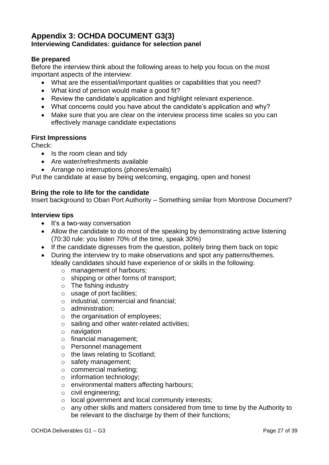# **Appendix 3: OCHDA DOCUMENT G3(3) Interviewing Candidates: guidance for selection panel**

#### **Be prepared**

Before the interview think about the following areas to help you focus on the most important aspects of the interview:

- What are the essential/important qualities or capabilities that you need?
- What kind of person would make a good fit?
- Review the candidate's application and highlight relevant experience.
- What concerns could you have about the candidate's application and why?
- Make sure that you are clear on the interview process time scales so you can effectively manage candidate expectations

#### **First Impressions**

Check:

- Is the room clean and tidy
- Are water/refreshments available
- Arrange no interruptions (phones/emails)

Put the candidate at ease by being welcoming, engaging, open and honest

#### **Bring the role to life for the candidate**

Insert background to Oban Port Authority – Something similar from Montrose Document?

#### **Interview tips**

- $\bullet$  It's a two-way conversation
- Allow the candidate to do most of the speaking by demonstrating active listening (70:30 rule: you listen 70% of the time, speak 30%)
- If the candidate digresses from the question, politely bring them back on topic
- During the interview try to make observations and spot any patterns/themes. Ideally candidates should have experience of or skills in the following:
	- o management of harbours;
	- o shipping or other forms of transport;
	- $\circ$  The fishing industry
	- o usage of port facilities;
	- o industrial, commercial and financial;
	- o administration;
	- o the organisation of employees;
	- o sailing and other water-related activities;
	- o navigation
	- o financial management;
	- o Personnel management
	- o the laws relating to Scotland;
	- o safety management;
	- o commercial marketing;
	- o information technology;
	- o environmental matters affecting harbours;
	- o civil engineering;
	- o local government and local community interests;
	- o any other skills and matters considered from time to time by the Authority to be relevant to the discharge by them of their functions;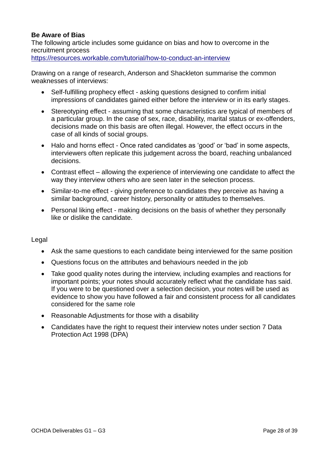#### **Be Aware of Bias**

The following article includes some guidance on bias and how to overcome in the recruitment process

<https://resources.workable.com/tutorial/how-to-conduct-an-interview>

Drawing on a range of research, Anderson and Shackleton summarise the common weaknesses of interviews:

- Self-fulfilling prophecy effect asking questions designed to confirm initial impressions of candidates gained either before the interview or in its early stages.
- Stereotyping effect assuming that some characteristics are typical of members of a particular group. In the case of sex, race, disability, marital status or ex-offenders, decisions made on this basis are often illegal. However, the effect occurs in the case of all kinds of social groups.
- Halo and horns effect Once rated candidates as 'good' or 'bad' in some aspects, interviewers often replicate this judgement across the board, reaching unbalanced decisions.
- Contrast effect allowing the experience of interviewing one candidate to affect the way they interview others who are seen later in the selection process.
- Similar-to-me effect giving preference to candidates they perceive as having a similar background, career history, personality or attitudes to themselves.
- Personal liking effect making decisions on the basis of whether they personally like or dislike the candidate.

#### **Legal**

- Ask the same questions to each candidate being interviewed for the same position
- Questions focus on the attributes and behaviours needed in the job
- Take good quality notes during the interview, including examples and reactions for important points; your notes should accurately reflect what the candidate has said. If you were to be questioned over a selection decision, your notes will be used as evidence to show you have followed a fair and consistent process for all candidates considered for the same role
- Reasonable Adjustments for those with a disability
- Candidates have the right to request their interview notes under section 7 Data Protection Act 1998 (DPA)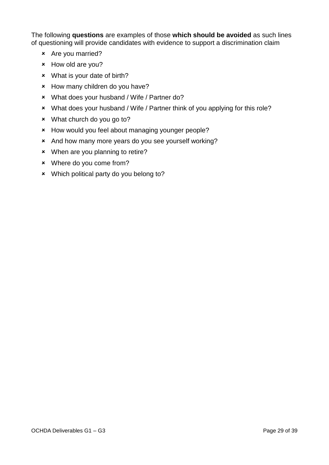The following **questions** are examples of those **which should be avoided** as such lines of questioning will provide candidates with evidence to support a discrimination claim

- Are you married?
- How old are you?
- What is your date of birth?
- \* How many children do you have?
- What does your husband / Wife / Partner do?
- What does your husband / Wife / Partner think of you applying for this role?
- What church do you go to?
- \* How would you feel about managing younger people?
- And how many more years do you see yourself working?
- When are you planning to retire?
- Where do you come from?
- Which political party do you belong to?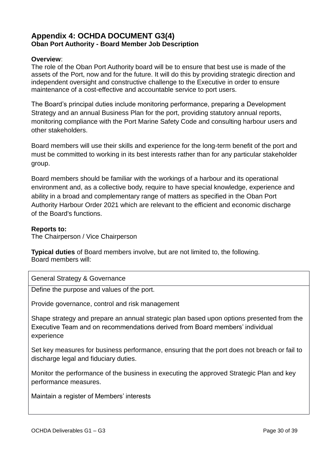# **Appendix 4: OCHDA DOCUMENT G3(4) Oban Port Authority - Board Member Job Description**

#### **Overview**:

The role of the Oban Port Authority board will be to ensure that best use is made of the assets of the Port, now and for the future. It will do this by providing strategic direction and independent oversight and constructive challenge to the Executive in order to ensure maintenance of a cost-effective and accountable service to port users.

The Board's principal duties include monitoring performance, preparing a Development Strategy and an annual Business Plan for the port, providing statutory annual reports, monitoring compliance with the Port Marine Safety Code and consulting harbour users and other stakeholders.

Board members will use their skills and experience for the long-term benefit of the port and must be committed to working in its best interests rather than for any particular stakeholder group.

Board members should be familiar with the workings of a harbour and its operational environment and, as a collective body, require to have special knowledge, experience and ability in a broad and complementary range of matters as specified in the Oban Port Authority Harbour Order 2021 which are relevant to the efficient and economic discharge of the Board's functions.

#### **Reports to:**

The Chairperson / Vice Chairperson

**Typical duties** of Board members involve, but are not limited to, the following. Board members will:

General Strategy & Governance

Define the purpose and values of the port.

Provide governance, control and risk management

Shape strategy and prepare an annual strategic plan based upon options presented from the Executive Team and on recommendations derived from Board members' individual experience

Set key measures for business performance, ensuring that the port does not breach or fail to discharge legal and fiduciary duties.

Monitor the performance of the business in executing the approved Strategic Plan and key performance measures.

Maintain a register of Members' interests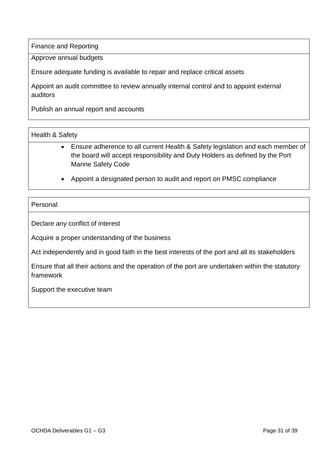Finance and Reporting

Approve annual budgets

Ensure adequate funding is available to repair and replace critical assets

Appoint an audit committee to review annually internal control and to appoint external auditors

Publish an annual report and accounts

#### Health & Safety

- Ensure adherence to all current Health & Safety legislation and each member of the board will accept responsibility and Duty Holders as defined by the Port Marine Safety Code
- Appoint a designated person to audit and report on PMSC compliance

#### Personal

Declare any conflict of interest

Acquire a proper understanding of the business

Act independently and in good faith in the best interests of the port and all its stakeholders

Ensure that all their actions and the operation of the port are undertaken within the statutory framework

Support the executive team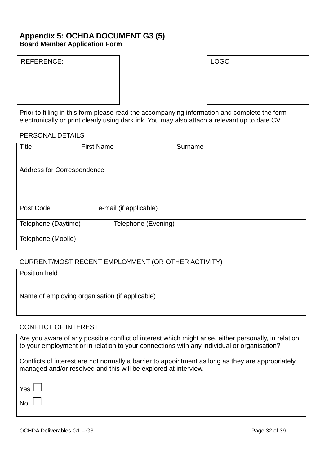## **Appendix 5: OCHDA DOCUMENT G3 (5) Board Member Application Form**

| <b>REFERENCE:</b> |  |
|-------------------|--|
|-------------------|--|

| REFERENCE: | <b>LOGO</b> |
|------------|-------------|
|            |             |
|            |             |
|            |             |
|            |             |

| <b>LOGO</b> |  |  |
|-------------|--|--|
|             |  |  |
|             |  |  |
|             |  |  |

Prior to filling in this form please read the accompanying information and complete the form electronically or print clearly using dark ink. You may also attach a relevant up to date CV.

#### PERSONAL DETAILS

| <b>Title</b>               | <b>First Name</b>      | Surname |
|----------------------------|------------------------|---------|
|                            |                        |         |
| Address for Correspondence |                        |         |
|                            |                        |         |
|                            |                        |         |
|                            |                        |         |
| Post Code                  | e-mail (if applicable) |         |
| Telephone (Daytime)        | Telephone (Evening)    |         |
| Telephone (Mobile)         |                        |         |

#### CURRENT/MOST RECENT EMPLOYMENT (OR OTHER ACTIVITY)

| <b>Position held</b>                           |  |
|------------------------------------------------|--|
|                                                |  |
| Name of employing organisation (if applicable) |  |
|                                                |  |

#### CONFLICT OF INTEREST

Are you aware of any possible conflict of interest which might arise, either personally, in relation to your employment or in relation to your connections with any individual or organisation? Conflicts of interest are not normally a barrier to appointment as long as they are appropriately managed and/or resolved and this will be explored at interview. Yes **Late** No l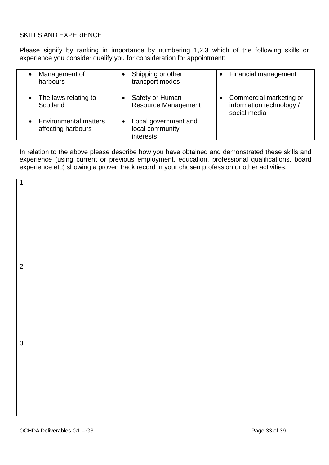#### SKILLS AND EXPERIENCE

Please signify by ranking in importance by numbering 1,2,3 which of the following skills or experience you consider qualify you for consideration for appointment:

| Management of<br>harbours                          | Shipping or other<br>transport modes                 | Financial management<br>$\bullet$                                   |
|----------------------------------------------------|------------------------------------------------------|---------------------------------------------------------------------|
| The laws relating to<br>Scotland                   | Safety or Human<br><b>Resource Management</b>        | Commercial marketing or<br>information technology /<br>social media |
| <b>Environmental matters</b><br>affecting harbours | Local government and<br>local community<br>interests |                                                                     |

In relation to the above please describe how you have obtained and demonstrated these skills and experience (using current or previous employment, education, professional qualifications, board experience etc) showing a proven track record in your chosen profession or other activities.

| $\overline{1}$ |  |
|----------------|--|
| $\overline{2}$ |  |
| $\overline{3}$ |  |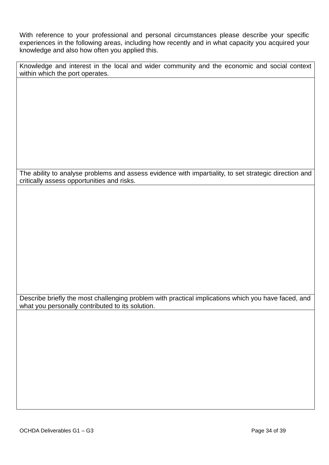With reference to your professional and personal circumstances please describe your specific experiences in the following areas, including how recently and in what capacity you acquired your knowledge and also how often you applied this.

Knowledge and interest in the local and wider community and the economic and social context within which the port operates.

The ability to analyse problems and assess evidence with impartiality, to set strategic direction and critically assess opportunities and risks.

Describe briefly the most challenging problem with practical implications which you have faced, and what you personally contributed to its solution.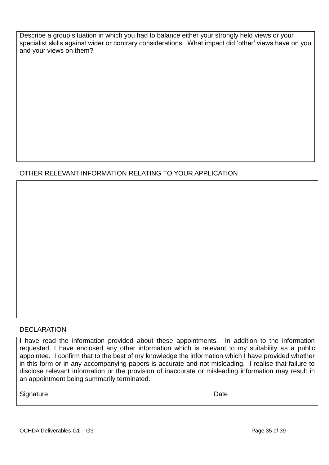Describe a group situation in which you had to balance either your strongly held views or your specialist skills against wider or contrary considerations. What impact did 'other' views have on you and your views on them?

# OTHER RELEVANT INFORMATION RELATING TO YOUR APPLICATION

#### DECLARATION

I have read the information provided about these appointments. In addition to the information requested, I have enclosed any other information which is relevant to my suitability as a public appointee. I confirm that to the best of my knowledge the information which I have provided whether in this form or in any accompanying papers is accurate and not misleading. I realise that failure to disclose relevant information or the provision of inaccurate or misleading information may result in an appointment being summarily terminated.

Signature Date **Date**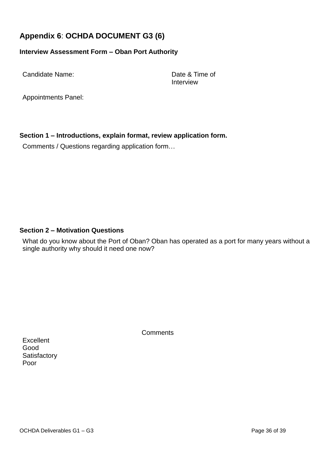# **Appendix 6**: **OCHDA DOCUMENT G3 (6)**

#### **Interview Assessment Form – Oban Port Authority**

Candidate Name: Date & Time of

Interview

Appointments Panel:

**Section 1 – Introductions, explain format, review application form.**

Comments / Questions regarding application form…

#### **Section 2 – Motivation Questions**

What do you know about the Port of Oban? Oban has operated as a port for many years without a single authority why should it need one now?

**Comments** 

**Excellent** Good **Satisfactory** Poor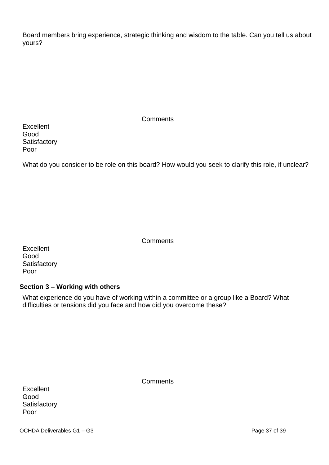Board members bring experience, strategic thinking and wisdom to the table. Can you tell us about yours?

| <b>Comments</b> |  |
|-----------------|--|
|-----------------|--|

**Excellent** Good **Satisfactory** Poor

What do you consider to be role on this board? How would you seek to clarify this role, if unclear?

**Comments** 

| Excellent    |
|--------------|
| Good         |
| Satisfactory |
| Poor         |

#### **Section 3 – Working with others**

What experience do you have of working within a committee or a group like a Board? What difficulties or tensions did you face and how did you overcome these?

| <b>Excellent</b> |
|------------------|
| Good             |
| Satisfactory     |
| Poor             |

**Comments**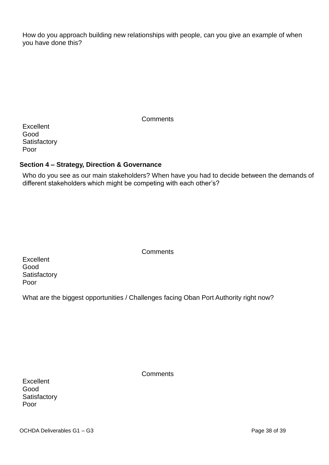How do you approach building new relationships with people, can you give an example of when you have done this?

| Comments |  |
|----------|--|
|----------|--|

**Excellent** Good **Satisfactory** Poor

#### **Section 4 – Strategy, Direction & Governance**

Who do you see as our main stakeholders? When have you had to decide between the demands of different stakeholders which might be competing with each other's?

| Excellent    |
|--------------|
| Good         |
| Satisfactory |
| Poor         |

What are the biggest opportunities / Challenges facing Oban Port Authority right now?

**Comments** 

| Excellent    |
|--------------|
| Good         |
| Satisfactory |
| Poor         |

**Comments**